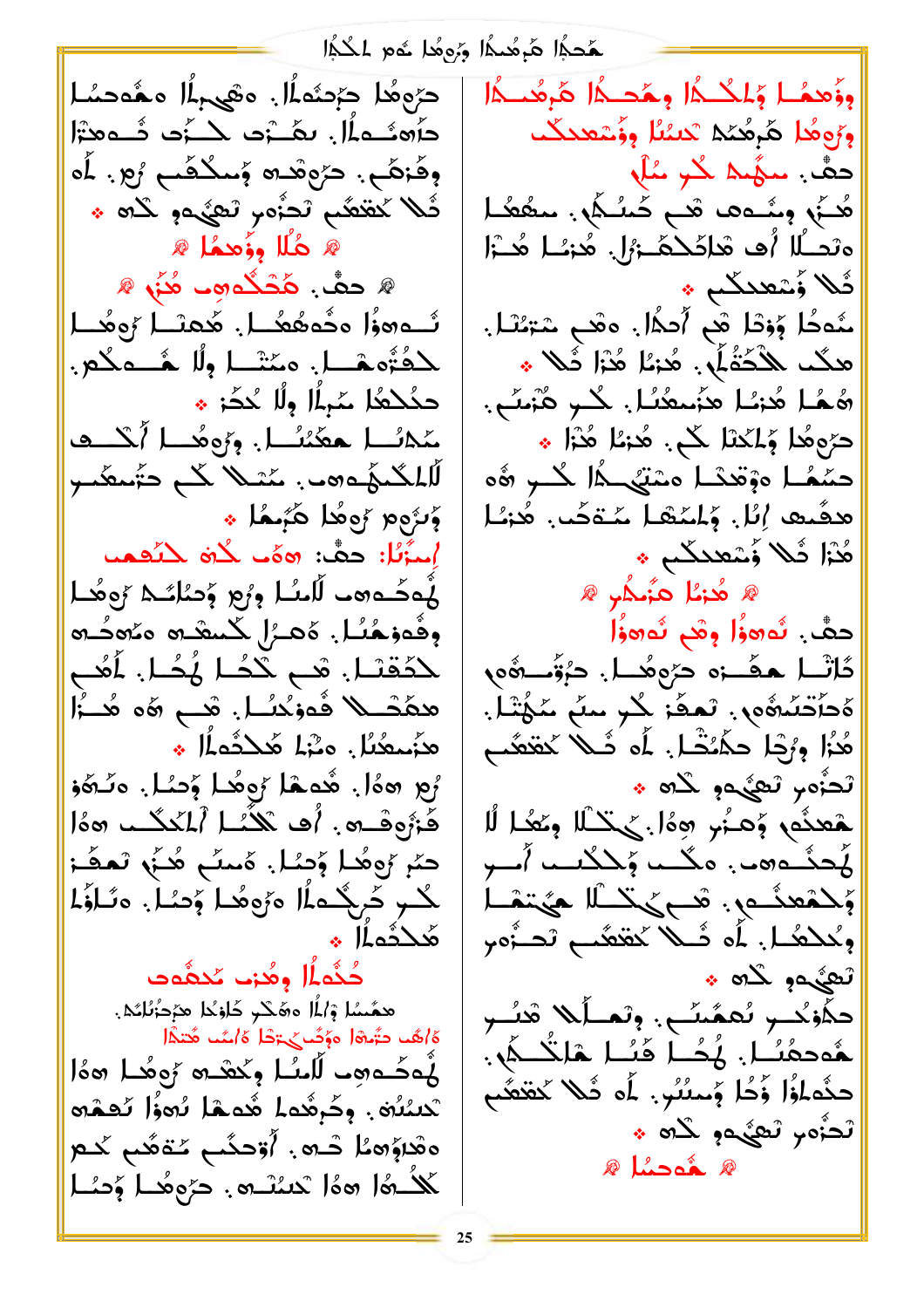هَدبُهُ! هَٰذِهُدهُ! وَرُوهُا هُو الْمَدُواْ

حرِّهِقُدْ حَرْحَثُه أَلْ. هِڤَيْ أَلَّا هُ هُوحَسُل دَرُه ُــملَم اللهُ ــرْد للهُــرْد شَــمِهِ ٱلْـ وِفَرْهَـٰـ ۚ . دَرُهِ هُـٰه وَمِـدُفَـٰبَ رُهِ . لَمَا ئُمْلَا كَتْقَفَّى تَجْزُهْ تَتْقَيْءَوْ كَمَّةٌ \* @ هُلُّا وذُههُا @ **& حَقٌّ. هُدْكُموس هُزُو &** ئَــووزًا ودُوهُعُــا. هُـعنَــا رُوهُــا كَفُتُوهَـــل وحَنْتَـــل ولُل هُـــوكُع . حنُكْعُل مَّبِلًا وِلًا حُكَّرَ \* سِّلابُ الْمَعَكِّبُ لِمَ وَوَوِهُكُمْ أَيْتُ هَا لْلِلْكُنْهُـــە مِنْ مِنْتَ بِهُمْ مُتَوْسِعْتِ وُبرُّهِمْ وَهِ هُدْ هُبُسُمَا \* إِسْزُلُا: حَقَّ: 50ْ لَا لَانَهُ لِلْكَعْمَدِ لْمَحَــدهــ لَاسُـل وزُهِ وَحَنْاسُـدْ رُوهُــا وِفْدَوْهُنُـاً. هُـصـُرُاً كَـُـبِبْتُــهِ ۚ مَـُهجَــهِ لحَكَفَتَا. هَـم حَكْـا هُكُـا. لَمُعُـم ههَدْ اللَّهُوَدُنُـا فِي هُو هُــُزَا) هَزَمِعْنَا. هَنْهَا هُكَشَا أَ رُمِ ۞هُا. هُدها رُوهُا وُحِبًا. ونَـهُوْ فَزْوَهْــه. أَفْ لَلْأَـٰـا ٱلْمُكْــٰب هٰا حَمْ رُوهُـا وُحِبَا. هُـتِّي هُـنُ تَعفُّ: ﯩﯖـﺮ ﻛ**ﺮ**ﮔـﻪﻟﻤ | ﻩﺯﻩﮬﻠﯩﺮ ). ﻩﺗﯩﻠﯘﻟ هَكْثُماُلُ \* كُنُّه لُمْ وهُن، كَنفُه ب همَّسًا وْالْمَا مَعَكَّرِ كَاوْلَا هَرْجُزُنَائِكَا. هَاهُ حَتَّمُ أَمَّ مَعْ مَعْ مَعْ مَعْدَاً وَأَسَّدَ هُنَّ لْمَحْــدهِــ لَّامنُــا وِكَــحْـــه رُوهُــا هؤا تَدِينُهُ . وِحُرِهُما هُمهْا نُهوًّا نُعْمَه ەھْلاَوەما شەھ. أَوْحِكُم عُـٰقَاهُم كَـٰع لْكُــهُا هَاْ كَنْنْــه. حرّەهُــا وُحْــا

وؤهما وللكلما وهجلها هرهبلما وزوها هرهكم تعبئا وؤشعدك حڤ. سهُّىھ كُبِر سُلَّى هُــَمْ وِمُــوم هُــم كَـنُــكَى. سعُعُــل ەتتىلا أَفْ قْتَلْحَكَمْـزُلْ. هُزْسًا هُــْزَا ثُلا وُسْعِدِكْمٍ \* مُدَدًا وَوَدًا هُمْ أَدَدًا. وقْع سْتِنْنَـا. هكُــه ۖ لِلْأَخَٰفُلُّ بِ هُـٰٓئِمُ اللَّهُ اللَّهُ \* \* ھُھُّا هُزْسًا هزَّىھُلُّا. كُبِ هُزْسٍّى. حرِّهِهُا وَلَمُكْثَا كُلِّ. هُنْئًا هُنْا \* حمَّمُــا هُوَقَدْـا مِتْتَكِــدًا حُـــو هُم هڤَىھ إِيَّا. وَلِمَّهْلِ مِّتْحَبٍ. هُزَ*ي*ْلِ هُنْزَا ثَلا وُسْعِدِكُم \* **& هُزْمًا هَزْمَكْرِ &** حقٌّ . ثُوهُووُّا وِقْعِ ثُوهِووُّا دَّاتْــا هفَــزه دَرْهِهُـــا. درُوَّــــةُهر ەْدَادْسُەُە . تىمكَ كُر سەّ سَكْتْلْ. هُٰۥۧۥۢٳ وٖۢ رَجۡا ۚ حکۡ ُخۡثَـا ۖ. لَم ۚ قُـلاً ۚ كَعۡعَمُــم تكُوم تَعيُّمو كُله ﴾ لَّا لَمَعْدُمِ الْكُرِّرِ ۚ. إِهْمٍ بِهُدَا إِمَّعَظَ لَهُ كُحِدُّے20ء. 20گَــد وُلِكَعْلَــد أُسـو لمَتَرَبِّمَ الْكَرَرَ حِيمَ . وَحَقَّصَهُمْ مَ وٖمُلكُما. أَه شَــلًا كَقَفَــم تَصزُّهر ث مگ ومریْما حكَّوْنُحَــرِ تُعَمَّنَــعَ. وِتَعَـــلَّـلا ۚ قَتَــُـر هُوحِفُنُــا. هُجُــا هَنُــا هَلِتُــكَى. حثُماؤُا وَّحُا وَمِسْنُو. لَمْ قُلا كَفَعْفُم تَحزُّه وَ تَعيُّمِهِ ۚ لَاهَ ﴾ 2 Lisaie 2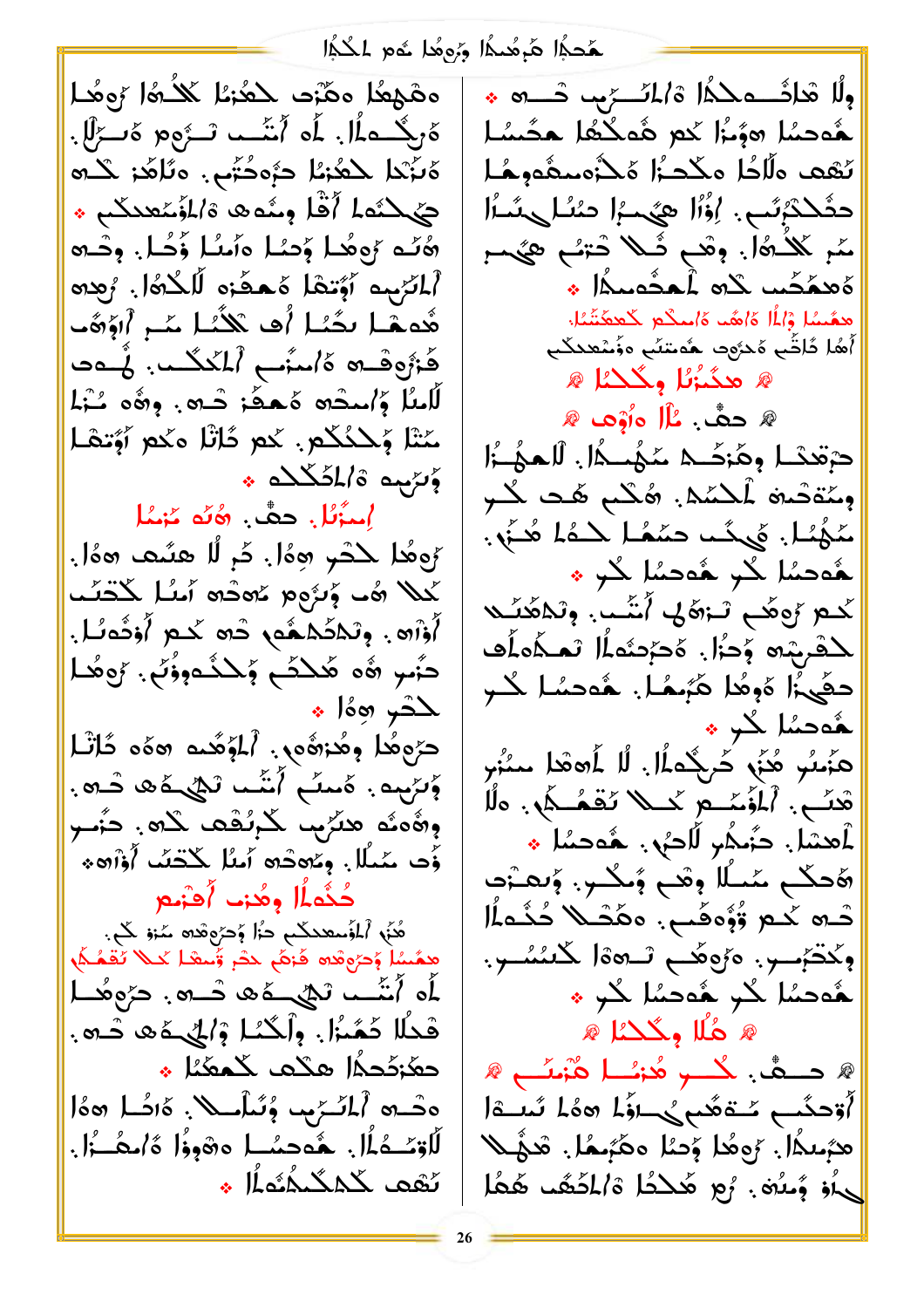هَجِمًا هَرِهُدِهُا وَرَوهُا هُو الْحُمَّا

وهُهِعُا وهُبْتِ حَعْبُنَا كَلَّمُوا رُومُنَا هُ رِجْسِهِ أَل أُمْنَسُبِ نَسْرُهِ مِنْ مَسْرَلًا . هُ نَزْدَا ۖ لِحَفُرْءُا ۖ حَزْهِ حُتَّى وَ مَلَاهُدَ ۚ تَكُـرُه حَيْحَتُما أَقْلَ وِمُمْعَ هَ/اوْمَعِنكُم \* هُنَّـه رُوهُـا وُحِبًا وَأَمِنُـا وُحُـا. وِحْـهِ ٱلْمَرِّىبِهِ ٱوَّتَّـٰهَا هُـعَفَّۃِهِ لَّالْحُدُّهَا. رُهِدِهِ هُدهْـا بِدُّـا أُفْ بْلُاْـا مْـرِ أَآؤَهُب فَزْوَهْــــــه هُامنُـــــم ٱلْمُكْـــــــد. لُـــــــه لْمَطْ وَاسِيْهِ هَجْعَةٍ ثَبِهِ . وَهُو سُنْهَا مَتْلَا وَحَدُكُمْ. كَمْ دَّاتْلْ مَكْم أَوْتِهْـأَ وُتِهِم وْالْمُكْلَمْ \* إِسْرُبُلْ. حقَّ. هُ مُ مُنْسَلِ رُوهُا حَتَّى هِءُا. ثُم لًا هنَّـم هؤا. كَلَّلْا هُـ وَبَرُّومِ مُهجَّده أَسُلَ لَكَحَنَّب أُوْآه ِ. وِلْكُكْلُهُمْ وَ كُلُّكُمْ أُوْثُوبُـٰا }. دَّىبِ ۞ُ٥ ﻫَﺪۡػُﻢٖ ﻭۡﺪۡﺪُﻮﻭﻭَّۢىٰ. ۚ ۚ وَﻫَﺪَﺎ لكثر وه اله دَرْهِهُا وِهُرْهُهِ ﴾ [الْوَهُده ههُه كَاتْـا

وَلَّهُمِهِ . هَمَنَّعَ أَشَّمَا تَذَكَّلَ هُ هُدَهُ . وِهُمْهُ هلَّابِ كَرْنُفْعَا كَلَّهِ. حَنَّب ؤُد مَمْىلًا. وِمُحدَّده أَمِنًا لِكَدَيْبِ أَوْآهِ ۞ حُذْه لُمْ أُو هُذِ الْمُؤْمِنِ

ِّ هُنَّهُ ٱلْأَسْعَدَكُمِ ۚ دُٰٓا وَّدَّعْ قَدَّةَ اللَّهُ ۚ ذَٰٓا لَهُ مَنْهُوَ ۚ ذَٰٓا لَقَاهُ ۖ<br>مِعْسُلٍ وَّدَّعْ قَدْهُمْ الْحَبِّ وَّسَعْدِ كَلا تَقْعُلُهُۥ لَمَاهِ أَشَّــد تَمِّيْـــهُ هُــــهِ . حَرِّهِ هُـــا فَحُلاً دَهَّمُ;ْلِ وِٱلْكَتَا وَٱلْجَهَدَ قَدَى . حعَّزَحُداُ هڏه لاهئا . ەتْــە ٱلمَنْـَرْب وُنُىلْــىلا. ەَائــا ھەْا لَّاوْضُـهُ/أ. هُوَحِسُـا وَوْوُوْا وُٱمصُـُرَا. تَّقْفُ كَمْكُمُّتُمَاْلِ \*

وِلًا قَدَادٌـــــمحكُمُ أَدَاءَكُـــرَّمِب حَــــــرَّه \* هُوصُلِ هؤِيزًا كُع هُوكُهُا هِجَسُا نّْهُم وَلَّاجًا وَكُحَزًا وَكُوْمِيهُومِهَا حَفَّكْتُرَكّْنَا عَلَيْهِ وَٱلْمُؤَلِّينَ مِنْكُمْ مَنْ الْمَعْلَى مِنْكُمْ مَنْ الْمَحْدَثَةِ مِنْ سِّمِ لَمَذْهَا. وقم شَلًّا دَّتْبٌ هَيُمبِ ە الْمَحْمَد لَاھ لَمَدُّومِيلَا ﴾ همُسُل وَٱلْمَالَ وَٱهْدَ وَٱسْكُمْ كَعَعَتْنَا. أَهُا دَاشَٰ مَدرُهِ هُوسَنِّ وَفَسْعَدِكْبِ ه مَكَنُّرُنَا وِكَكْنَا هَ ه حقٌّ. *ـأَأَ* ورُوْمٍ هُ حرِّقْدًا وِهَٰزَكُــدُ سُهُــدًا. لَلـعهُــزُا وِمَّةَصْنَةَ الْكُمَّةِ. شَكْمٍ هُتْ كُلْر سَمُنْهَا. يَهْتُمَا حَمَّهُا حَـٰهُا هُـنَّى. هُوصُل كُرِ هُوصُل كُرِ ﴾ كَنْتُمْ رُوهُكُمْ لَتْ: وَالْمَكْتُبُ وَلَلْكُلُمُكُمْ لَيْسَ الْمُؤْمَنُونَ لِكَفَرِبْتِهِ وَحَزَّا. هُجَرْحَثُم**اً**ا تَعَـكُاهاًف حَقِّيءُ أَوْهُدَ هَٰهُمَا. هُوصُنَا كُــدٍ هُەحسًا حُب ۞ هَ مُنْ هُنًى كَرِيْكُماً }. لَا لِمُحْقَلَ مِمْنُو قْتُبِ: ٱلْمُؤْسَّـْ مَا لَّذَا كَـُقْصُـٰكِي. وَلَا ـلَاصْتَا. حَنُمكُم لَّاحَىْ. هُـُوحِمَّا \* ەَحڭى سُىلًا وقىي وُڭىر. وُنھىزْت تْـه كُـُـمْ وُّؤْهفُــم. هفْتُــلا كُنُـماُ! وڭڭزىس، ەزەھّى ئىھۋا ڭلىئىس، هُەحسًا حُرِ هُەحسًا حُرِ ﴾ ه مُلا وجُّكنا ه ه حــمُّ: كُـــو هُنْــا هُنْتَــ ِ ه أَوْحِكُبِ صُـٰٓةَهُدِىٰ وَذَٰٓا هِهَا سُلْـةَا هِ ٱللَّهُ إِنَّ وَهُدَا وَحَدًا وَهُ ۖ هُمَا اللَّهُ وَلَيْ لَهُ أَسْلَمَ لَهُ وَلَيْ لَهُ وَلَيْ ل لِدُوْ وُمِنُهَ. رُمِ هَٰكُمَّا وَٱلْمَٰحَّفَ هَٰهَا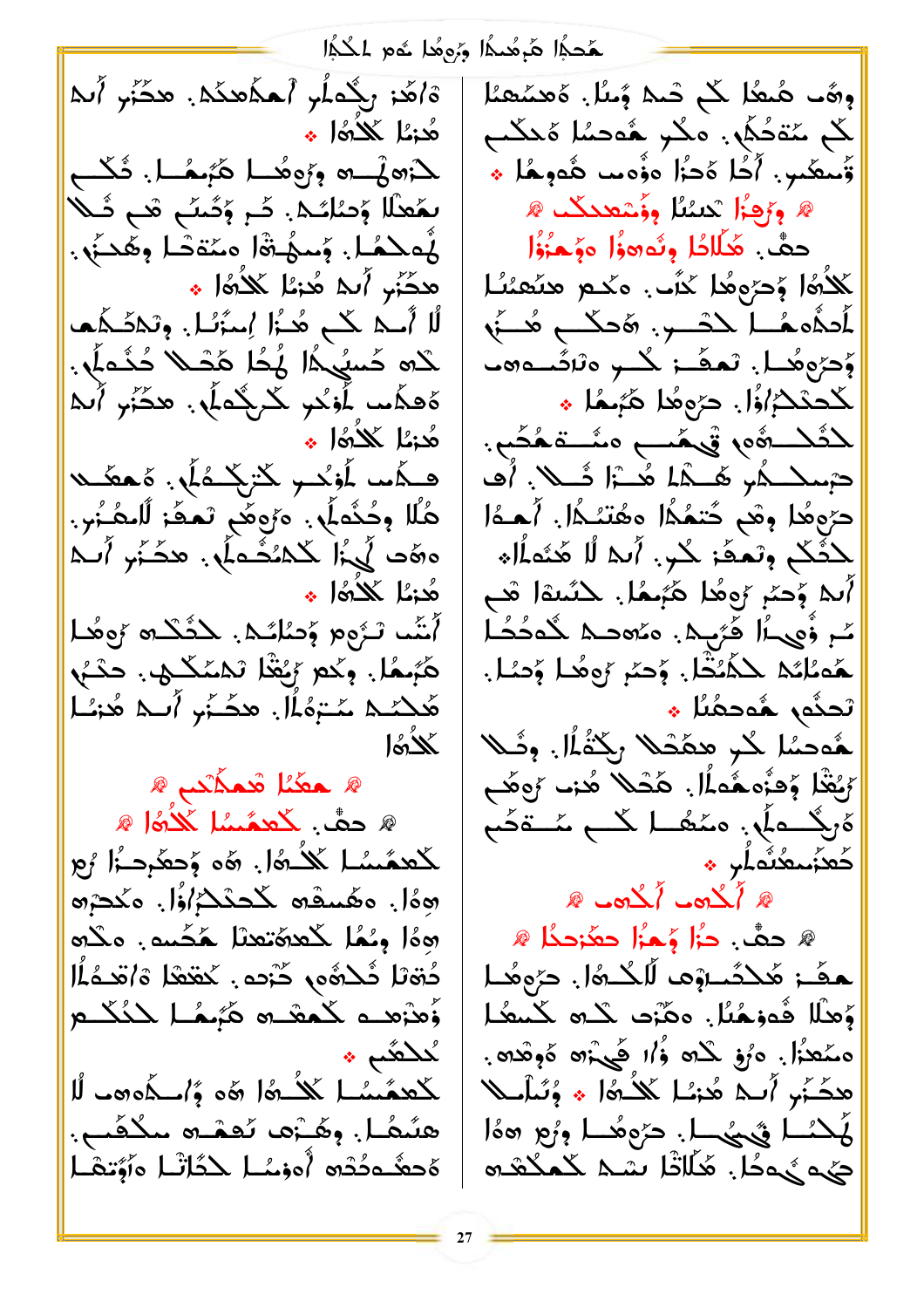هَدبُهُ! هَٰذِهُدهُ! وَرُوهُا هُو الْمَدُواْ ةَاهَٰ: رِكُمْلُو أَهْلُمُعَكَّدْ. هَكُنُو أَلَدْ وِهَ ۖ هُبِعُا ۖ لَا ۖ شَيْءَ لَا وَسُنَّاءِ. هَ مَسْمَعُنَّا ݣُم ﻣັﻘْﺧُﻢٗ). ﻣﯖﺮ ﻫُﻪﺣﺴًﺎ ﻣُﺪﯕﯩﻢ هُذِمًا لَمَلاَهُا \* لأروهي وزوما هُبما. فُكَّب وَّسعَّىنِ. أَكُل هَدُا هؤُهِ هُمَا ﴾ بِمُعْلَا وَْصُلَّكُمْ. ضُرِ وَكَسَّعْ هُجْ شَكَلَا **& وَرَجْزًا تَعْبُدُا وِوَجْمَعْنِكُتْ** ﴾ هُمكْمًا. وَسَهُــٰةُ مَنْقَدًا وِهَدَىٰ. حَمًّا. هَـُلَاطُ وِنُوهُوْا وَوُحَزُوْا هكُنُو أَبْدَ هُزْمًا لَكُلُّهُا ﴾ لْمَدُهُمْ وَحَرَّوهُمْ كُلُف، وكُنْفُرْ مَنْهَنْنَا ۖ لًا أَسك كُلُّم هُـزًا إِسْزَٰنًا. وِتَكَلَّكُـه لمُفمُسْلُمْ حَتَّسٍ. هُجَكَسٍ هُــَبُو كَلَّهُ كَسَيُّهُا هُكُمْ هُمْسَةٌ كُنُّمَةٍ. وَحَرَّهِ مُصَلِّ الْمَنْفُسِمْ لَكُسْنِ مَثَافُسُمِهِ فَ ەُھكَامىر ِلَمْوْكُمْلٍ كَمْرِيْكُمْلُو . ھَڪُئِن أَنْكَمْ لِكُحِنْكُمُ/وَّا. حَرَّوهُا هَّبُهُا \* هُذِمًا لَكُلُهُ \* لمَثْلُمْ شَمْسَمٍ مِنْسَمَةٍ مِثْلِكَمْ بِهِ مَثْلِكَمْ مِنْ مِنْ مِنْكُمْ مِنْ ھكَمِس لَمُؤْكِّبٍ كَتْرَبِّكْتُهُ). هُمْعَكَبَلَا حْبِيْكِيكُمْ هُــِكُمْ هُــْزَا ثُــكُلْ. أُف هُلَّا وِحُثَّمَلُ . هرُّوهُم تَعفَّزَ لَّامِمُّزُر . حرِّهِهُا وقَعٍ حُتمُهُا مِعْتَنِّهُا. أَحْدُا ههُد إِيْمَا لَكُمْنُشُمْلُو. هَذَهُر أَسْدَ َكْثُكُمْ وِتَعَفَّزَ كُنْ أَبَدَ لَا مُّتَمَ*أَ*ا \* هُزئا لِلْأَهُا \* أَبِهِ وَجِبٌ وَوَهُا هَبَّتِهَا. كَيْبَعُا هُبَ أَسَّد تَـرُّهِمْ وَحَـُائَـمْ. كَـثَـكُـرُه رُوهُـا ضَرِ وَّى أَلْمَحْ أَسْرَاهِ . مَتَوَصَدَ لَكُوحُضَا هَّبُهُا. وكَمْ رُبْقُا تَمْسَكُنِي. حَتَّى هُوبُلُّكُمْ حَكَمُنْقَلُ. وَحَيْرٍ رُوهُما وَحِبْلٌ. هَٰلِكُـٰدِ مُـٰٓبَوُمَٰٓاً. هِڪُنُو اُنـدِ هُـٰٓنَـٰا *ت*حثُم هُوحعُ*نا*ْ \* هُءحسًا لكر مِمَّصْلاً رَكِّةُ أَا. وِضَلا **مَلاُهُ**ا ه حكَّمُا تَعْمَلَتْبِ \* رُبُقْلَ وَعَزُّهِ هُمَالَ. هَصْلاً هُن رَوهُم ه حقّ كعمّسًا كلّهُ ا ه ەرگىمان مىلگىم ئىستەكىم كَعِمُسُا كَذَهَا. هَءٍ وَحَعَرِدُ أَوْمِ **َحَعَزُمَعُنُمَاُرٖ ۞** ه أكلهما أكلهما ه المؤال وكمسقح للحنكم اوال ولحتره ® حقٍّ. جزًّا وَجزًا حقَّزحكًا ® ادة اوسُعًا لَمُحَدِّدَتَهُ لَهُ حَمْدَ اللَّهُ هفَّ; هُكْشَاوْها لَّاكُدْهَ ]. دَرْهِهُـا دُة مْلْ شَلْحُوهِ وَ حُرْمَهِ . كَضَمْلُ وْاقْدَمُلْا ؤُهْرَهـــم كَــُمْعْـــره هَيُـمُــا لِكَكْـــمِ وَهِمَا هُوَمِمُلُل. وهُوَ كُلُو كُلْمِعُمْ مَمْعَزًّا. ورُوَ كُلُّه وَّ/ا فَيْءَه وَمِعْدَه. ىُلْكُمْ \* كَعِمُسُا كَلُّهُ أَهُ وَٱكْمُوا لَهِ هكُنُو أَسط هُنسًا لِلأَهُا ﴾ وُنُىأَسِلا لَهَمْهَا فَيُحِيَىٰ الْمَحْرَمِ هُمَا وِرُمِ هُمَا هِنُمُـاً. وِهُـَٓوَمَ نُعَـَّدَهُ مَكْفُــمٍ. ضَعْكُمْ مَشَاتْنَا، مَخَالَةَ مِنْ مِنْ هُحعْـُــوكُثَـره أُومِنُـــل حكَمْتُــل وَأَوُّتِهْــل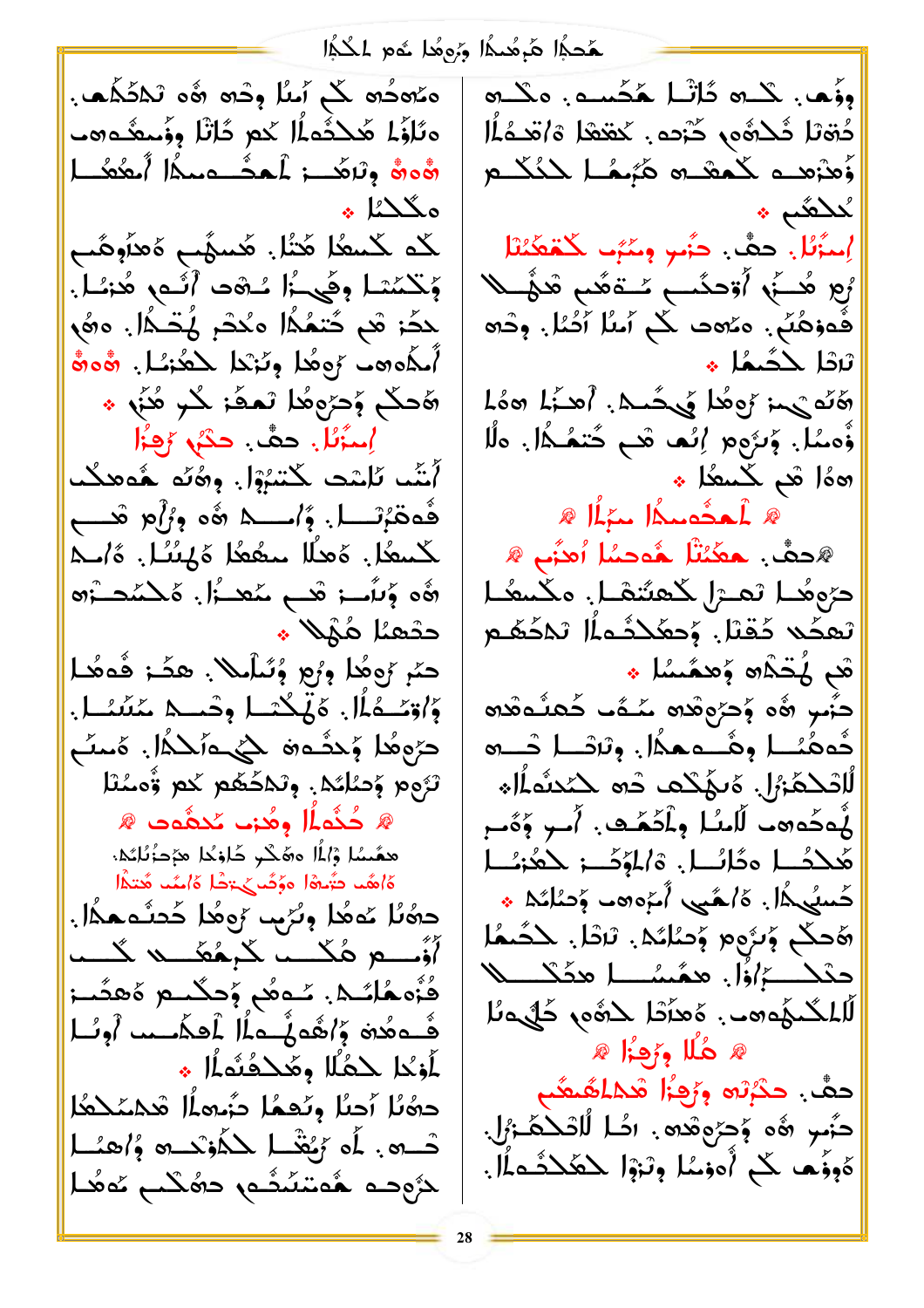هَجِمًا هَرِهُدِهُا وَرَوهُا هُو الْحُمَّا

هَ مُحدُّدَه لَكُمْ أَمِنُا وِحْدِهِ هُوَ تَكْلُكُمْ . ەئاؤُلم ھُڪْھَماُا كُم كَاتْا وِؤُسِعْـوهـ رُّورُهُ وِتَرَضَّـ : اُهشُــومِيكُمْ أَيعُعُبُــا ه لمُكلئا \* كُمْ كُنْبِعُا مُثْلُ. هُنْبُهُبْ هُعَيُوهُبْ وَكَكْتَمَا وِفَيْءَا مُـْهُدَ أَنُـهِ هُزَمُـاً. حَدُّ: هُم خُتمُدًا مكْثَرِ هُتّْدًا. وهُم أَمِكُوهِ وَوِهُلَ وِنَزْدَلَ كَهُزْنَىلَ هُوَهُ هَحكُمْ وَحَرَّوهُمَا تَعْقَدْ كُلُّرٍ هُنَّوَ \* إسرَّبُل. حمَّى. حكَبِي رَجِزًا أَنَنُب تَاسْتِ لَكُتْبُوْلَ. وِهُنُه هُوهَكُتْ فُومَّزْنَـــا. وُأَســــدْ هُو وُزُلُّ قَصـــمِ ﯩﯖﯩﯩﻐﻠ. ەﮬﻠﺎ ﻣﯩﻐﻐﺎ ە*ﻟ*ﯩﺌﯩﻠ. ە*ﻟ*ﯩﻤ هُه وَبِأَسِن هُبِ مَعِيدًا. هَكْمُحِيَّاتِهِ حثعنا مُهْلا ؞ حَمْرٌ رُومُوا ورُومٍ وُنُىأَمِلًا. هكَـٰ: فَـُوهُـا وَّاوْضُـهُـلًا. هَٰلِّكْسُـل وِصْــه سُنَّسُــل. دِّعِهُا وَحِثَمِهِ جَيْمَالِكُمَّا. هَسَبَ تَرُّهِمْ وَحِبْلَتُمْ. وِتَمَحَّطُمِ كُمْ وُّمِيْتَا *®* حُذُماُ! وهُنِ مُدهَّدت *®* همَّسُا وْٱلْمَا هَهَكُو شَاوْكًا هوْشَائِدْ. كَاهُمَا حَبَّدَهُ الْمَجْرَبَّةُ وَحَسَبَهُمْ الْمُحَمَّدِينَ الْمَحْمَدِينَ دەُنا مُەھُا وىُرْب رُوھُا كُتىئەھەا. أَؤْسِــــم هُكْــــما كْــِـمُعَـــــلا كُــــما قُزُّەھُلْسًا. سُوھُے وُحكُسو ەُھصَّى: فُــدمُده وۡ/هُدیُــداٗا الۡـمدَــــد ٱوۡـُــا لَمْوَكُل حَمْلًا وِهُحَفَّثُمَاْلِ \* حمُّلًا ٱحلًا وتُعمُّا حَنَّىماً هَٰذَتَكُمَّا حْسِرِي. لَمَ رَجُغْسًا كَمُؤْكِنِي وُاهِيُنَا حرَّهِ حَمَّ مُمْتَسَٰفٌ مِنْ اللَّهُ مَا مَعْ مَلَّا مِنْ اللَّهَ

وَوْهٍ . لِكُبْرِهِ كَاتْبًا هُجُسِيمٍ. هكْبُ دُة ثَلِّ شَكْرُهُ مِ كُنْزِهِ مِ كَفَقْتُهُا وْاقْدَمُلُمْ ا ؤُهْرَهـــم كَــُمهْـــهِ هَبُنِمَــا لِكَنْكَــمِ ىُلمُعُم \* إِسْزُنُاً. حقَّ. حَزْمٍ وِسَّرِّم كَمَعَنْنَا رُهِ هُــَمَ، أَوْحِكَـــم صُــَةهُــه هُـهُـــلا قُوهُنّمَ. ومُهد لَكُم أمِنًا أَصُّلَ. وِدْه ثرثا حُجُمُا ﴾ لَهُم لَمْكُمْ . مَكْرِهُ لَمُومٌ مَرَّضَهُ ؤْهِمُا. وَبَرُّهِم إِنَّهَا هُمْ شَهْكَا. وَلَا 169 ڤم كُسعُا \* @ 1/2 1 Lucial @ ه ه ه معَمَّتْل هُوجِسًا أمنُو هـ دِّەھُــا تَعــْزا كَـْعَتَنْهْــا. مكْسِعُــا تَعكُد كَقَتَا. وُحعُلاَدُهاُ! تَدَكَّعُـم هْمْ لُهْكُلُهُ وُهْمُسُلْ \* حَنُو ، هُ ۽ وَحَرَّه هُده مَمْـهُ حَكْمَـنُـه هُده دُهِ مُنْـَــا وِهْـــوهِ الْالْ. وِتَرْتَـــا حْــــرَة لُاتَـكِمَٰٓرُۥلِ. هَٰٮؼُكُم حْسَ كَـُدتُمَلُّا ﴾ لْمُوَجُوهِمَ لِّأَمِنْنَا وِلْمُكُنَّفِ. أُمِي وَوَّمَ ھُكْحُــا ەڭائــا. ةالمۇڭــز كھُزئــا حَسيُكُمْلِ. هَ/هَيِي أَمَرُه هب وَصَلِّكَمْ \* هُحكُمْ وَبَرْءِمْ وَحِبْلَتُمْ. تَاتَلْ. حَحَكْمُا حنَّفْ عَ}وُّل. همُسُنَّسَلِ هدَّكْنَسْلا لَّالِمُكُمُوهِ وَهُمَّا لِمَالَهُ وَهُمَّا لِلَّهُ مِنْ الْمَلْكُمُ **۱/۹ مگلا وزجهٔا ۱/۹** حڤْ. حَدَّرْتُه وَرِّقُوا هُكَلَمُّمَعُّب دَّىبِ ۞ُه وَجَرْهِ هُدهِ . اصَل لُاصْحَٰهَ ـٰٓءُ ۖ لِ هُوِؤُها لَكُمْ أُووْسُلُ وِتَزْوَا لِلْكَلَاثُ1َالَ.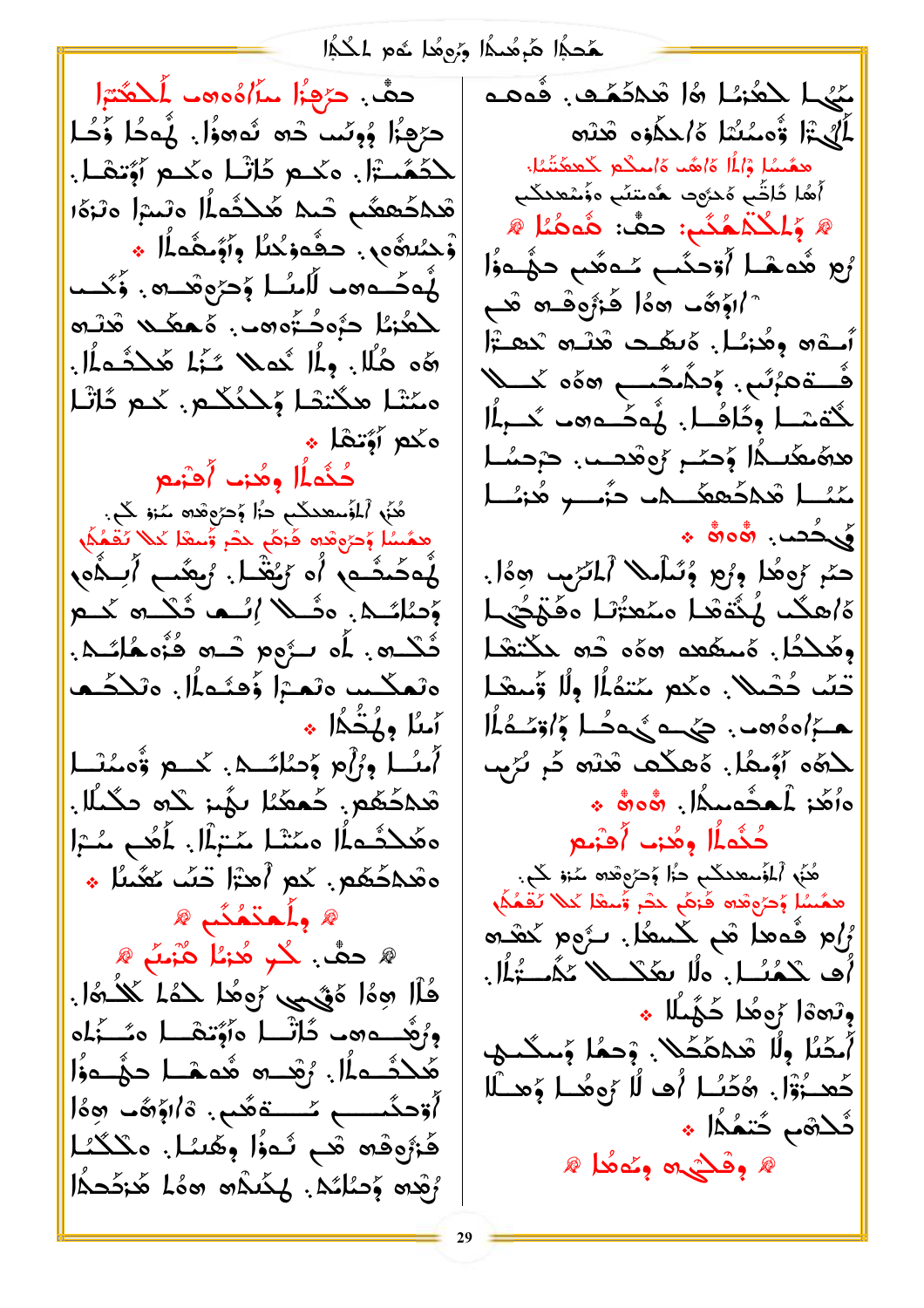هَدبُهُ! هَٰذِهُدهُ! وَرُوهُا هُو الْمَدُواْ

حفٌ. حَرِّهِۥُا سَأَاهُ٥٥ شَكْتَةِ ا حَرِّهِۥۢۤا وُوٖٮُٮ ۚده نُه‰وُّا. لِمُهكُا وَٚحُـا لِكَمُتْ, مَحْمِ كَاتْلِ مَحْمِ آوُتِهْلِ. هْدْكُهْمُم حْبِدْ هُكْثُمْلًا هِ ْسْرًا هْبْرَةْ؛ ۏٛڂٮؙڷڎٞٯ**؋ۦ**ۘ؎ۿٞڡۏػٮ*ۮ*ڵ؋ڒؘۅ۪ٞؠۿۛڡڵؙڶ؞ لْمَكْـــەھب لَّاللَـــا وَجَمْعِهْـــهِ . وَكُـــب لمَعْنِظُ حَزَّە حُدَّوه مِنْ مَعْطَمِهِ هَنَّدَه هُه هُلُّا. ولُمْ يُدِهِدْ سُرُا هُدِدْهِ اُلْ مِئْتًا مِكْتَحْا وُحْكُكُمْ. كُمْ دَٰاتْنَا ەڭم أۇتقا ھ حُذُه لُمْ وهُنوس أُهْبُوم ِ هُنَّهُ ٱلْمُصْحَدَّكُمَ ۚ جَٰزَا وَجَرَّةٍهُمْ عَذَٰوَ كَلَى .<br>مِعْسُلٍ وَجَرَّةٍهُمْ هُوَمَّ حَجْرٍ وَسَعْلِ كَلا تَعْفِيَّةٍ رەڭبا ﴿ مِنْقَدا الْمُؤْمَّ هُ الْمُحَمَّدُونَ وَحَمَائِكُمْ. هَشُمْ إِنْسَمْ شُكْسِهِ كَسْمَ ثَكْلُه. لَم سرُّوم تَله فُنُوهُكُمْ. ەلْمكْسا ەلْمـْرَا وُقتُـْمالْ. ەلْكْـُـما أملا ولمُخْلُا \* أَمنُــا وِرُأَهِ وَحِمْائَـــهِ. كَـــع وَّٰٯمُنْـَــا مْدْكُمُو. كُمِعْنَا بِهُمْ ݣُو حَكْيًا. ەھَكْدُەلُا ەمّتْل مّتېلْل. لَمُّع مُـْبَل ه هُدكَهُم. كُم أُمِتْ أَحَبُ عَعُبِيًا ﴾ **& وأحتمُنَى** & ه حقٌّ. كُمْ هُزْمًا هُزْمَعٌ *ه*َ فَأَا هِهُمْ أَهْفُ لَا مَعْ الْمَحْمَدِ الْمَسْرَفَعَ الْمَسْرَمَانَ هَٰٓدُدُ وَاْ. رُبْحِــهِ مُومَــْـا حَيْــوزًا أَوْحِكُمِــــم عُـــــةهُدم : 16وَّهُــ وهِ أ فَزْوَقُو مْعِ نُوزًا وِهَىئا. مَكْكُبُا رُهْده وُحِمَّامٌ؟ لِمَكْدُه هِهُ لَا هُزْخُحِكَّا

مَّهُما كَعُزْمُا هُمْ شَكْكَفَ وَ قَوْمِهِ لَمَايَّةً وَّدَعُتُنَا دَاكِكُوْهِ مَّنْتُه همَّسُا وْالْمَا هَاهُبْ هَاسْكُمْ كَعْعَقْتُنَا. أَهُا دَاتَٰبَ هَدرُوت حَدَمتنَبِ وَفَسْعَدتَكِ & وَ*ٓالْحُدَّهُنَّى*: حَقَّ: هُوهُ*نَّا &* رُعِ هُدهَـا أَوْحَكُبِ سُـدمُبِ حَقْـدَوَّا <u>ال</u>أَوْهُ مَاهُمْ الْمُؤْوَّدُ مَنْ الْمَسْمَدُ ٱئە وهُزْئال ەُبھُد هْنُدە تْدْعَزْلَ ڤَـــةهڔُنَّــم. وۡحَدُّمَـــــم «هَ٥ كَــــلا لِكَتْمَسْطِ وِظَافُطٍ. هُوصُّـوهِ وَسَلَّطِ الْمَرْكَبِ ھھَىھُدِھُا وَجِئْمِ رُوھَجِيں. حَرْجِسُنَا مِّنْسا شَدْخُعفَسْدَت حَزْسَتِ هُزْسُنَا  $\therefore$  909. حَمْرٍ رُوهُا ورُعٍ وُنُبِأَمِلاً أَلْمَرِّبِ وَوَا. هُ/هگُد هُنَّةَهْدا منْعتُرْدا مَفَهَّجُهَا وقُلْحُلُ مُسْقِّعِدِ مِهْمٍ دَمِ مَكْتَعْدَ حْنُبِ حُصْلًا. وَكُمْ يَتْتَوُلُّلُ وِلًا وَّحْمَدُ لَّكُمْ أَوُمْعُلُ مُعَكَّفٌ مُّلَّهُ ثُم تُرْبِي حُثُماُ! وِهُٰٓنِ ٱوۡنُومِ ِ هُنَّهُ ٱللَّاسِعِيكَــمِ ۚ جَآا وَجَرَّةِهُدَاهَ عَبَادٍ كَلَّى .<br>المَعْسُل وَجَرَّةِهُدَاهَ أَخْرَجُ عَجْمٍ وَأَسْعَلَ كَلا تَقْعُكُمْ رُّامِ فَوها هُم كَسِعًا. بِرُومِ كَعْدُهِ أُف حْمُنُــا. وَلَا تَعْكَـــلا تَكُـــتُنَالَ. وْنُوەْ ( وْهَدْ خَهْبُنَا ﴾ أَمكُنُا وِلًا قَدِمَكُمْ\. وْحَمُّا وُسَكَّىٰهَا كَعِــزُوْلَ. هُكَنُــلُ أُفَّ لَا رُوهُــل وُهـــُلل ثَلاةم حٌتمُكُا ﴾ **\* وقلتي ه ويُمطُ \***